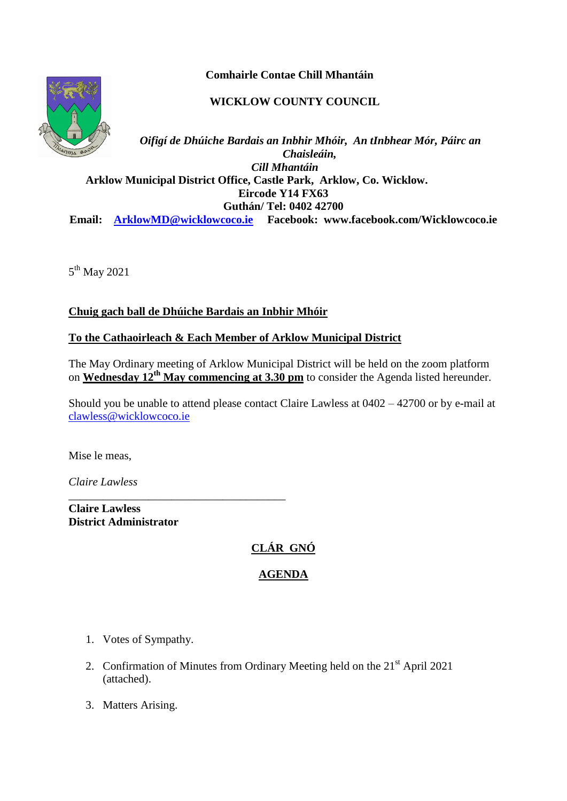**Comhairle Contae Chill Mhantáin**

### **WICKLOW COUNTY COUNCIL**



*Oifigí de Dhúiche Bardais an Inbhir Mhóir, An tInbhear Mór, Páirc an Chaisleáin, Cill Mhantáin*  **Arklow Municipal District Office, Castle Park, Arklow, Co. Wicklow. Eircode Y14 FX63 Guthán/ Tel: 0402 42700 Email: [ArklowMD@wicklowcoco.ie](mailto:ArklowMD@wicklowcoco.ie) Facebook: www.facebook.com/Wicklowcoco.ie**

5<sup>th</sup> May 2021

**Chuig gach ball de Dhúiche Bardais an Inbhir Mhóir**

### **To the Cathaoirleach & Each Member of Arklow Municipal District**

The May Ordinary meeting of Arklow Municipal District will be held on the zoom platform on **Wednesday 12th May commencing at 3.30 pm** to consider the Agenda listed hereunder.

Should you be unable to attend please contact Claire Lawless at 0402 – 42700 or by e-mail at [clawless@wicklowcoco.ie](mailto:clawless@wicklowcoco.ie)

Mise le meas,

*Claire Lawless*

**Claire Lawless District Administrator** 

\_\_\_\_\_\_\_\_\_\_\_\_\_\_\_\_\_\_\_\_\_\_\_\_\_\_\_\_\_\_\_\_\_\_\_\_\_\_

# **CLÁR GNÓ**

## **AGENDA**

- 1. Votes of Sympathy.
- 2. Confirmation of Minutes from Ordinary Meeting held on the  $21<sup>st</sup>$  April 2021 (attached).
- 3. Matters Arising.